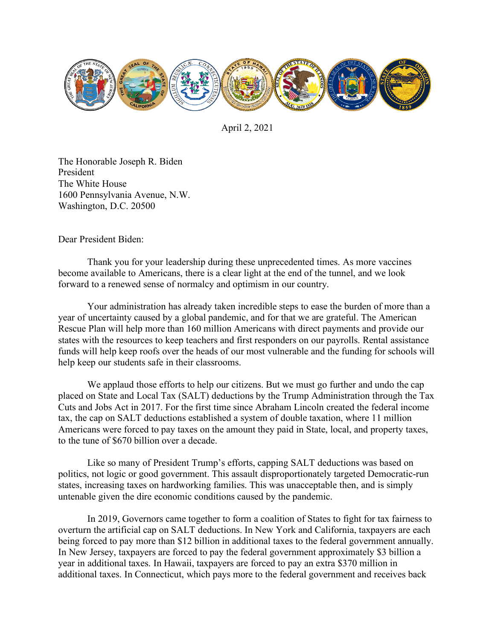

April 2, 2021

The Honorable Joseph R. Biden President The White House 1600 Pennsylvania Avenue, N.W. Washington, D.C. 20500

Dear President Biden:

Thank you for your leadership during these unprecedented times. As more vaccines become available to Americans, there is a clear light at the end of the tunnel, and we look forward to a renewed sense of normalcy and optimism in our country.

Your administration has already taken incredible steps to ease the burden of more than a year of uncertainty caused by a global pandemic, and for that we are grateful. The American Rescue Plan will help more than 160 million Americans with direct payments and provide our states with the resources to keep teachers and first responders on our payrolls. Rental assistance funds will help keep roofs over the heads of our most vulnerable and the funding for schools will help keep our students safe in their classrooms.

We applaud those efforts to help our citizens. But we must go further and undo the cap placed on State and Local Tax (SALT) deductions by the Trump Administration through the Tax Cuts and Jobs Act in 2017. For the first time since Abraham Lincoln created the federal income tax, the cap on SALT deductions established a system of double taxation, where 11 million Americans were forced to pay taxes on the amount they paid in State, local, and property taxes, to the tune of \$670 billion over a decade.

Like so many of President Trump's efforts, capping SALT deductions was based on politics, not logic or good government. This assault disproportionately targeted Democratic-run states, increasing taxes on hardworking families. This was unacceptable then, and is simply untenable given the dire economic conditions caused by the pandemic.

In 2019, Governors came together to form a coalition of States to fight for tax fairness to overturn the artificial cap on SALT deductions. In New York and California, taxpayers are each being forced to pay more than \$12 billion in additional taxes to the federal government annually. In New Jersey, taxpayers are forced to pay the federal government approximately \$3 billion a year in additional taxes. In Hawaii, taxpayers are forced to pay an extra \$370 million in additional taxes. In Connecticut, which pays more to the federal government and receives back